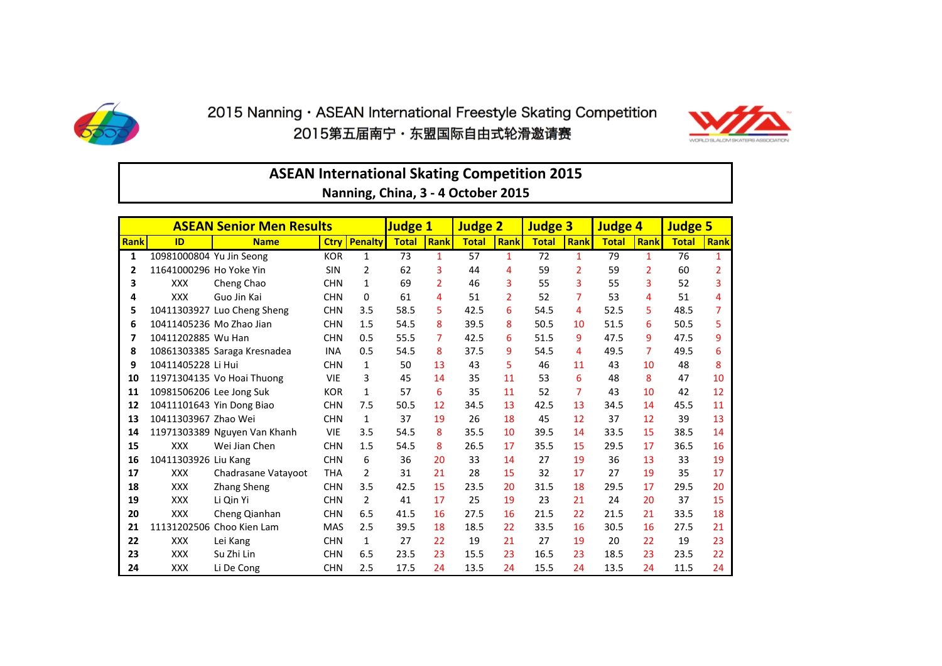

## 2015 Nanning · ASEAN International Freestyle Skating Competition 2015第五届南宁・东盟国际自由式轮滑邀请赛



|                                                                                                                    | <b>ASEAN International Skating Competition 2015</b><br>Nanning, China, 3 - 4 October 2015 |                              |             |                |              |                |              |                |              |                |              |                |              |                |
|--------------------------------------------------------------------------------------------------------------------|-------------------------------------------------------------------------------------------|------------------------------|-------------|----------------|--------------|----------------|--------------|----------------|--------------|----------------|--------------|----------------|--------------|----------------|
| Judge 1<br><b>Judge 2</b><br><b>Judge 3</b><br><b>ASEAN Senior Men Results</b><br><b>Judge 4</b><br><b>Judge 5</b> |                                                                                           |                              |             |                |              |                |              |                |              |                |              |                |              |                |
| Rank                                                                                                               | ID                                                                                        | <b>Name</b>                  | <b>Ctry</b> | <b>Penalty</b> | <b>Total</b> | Rank           | <b>Total</b> | Rank           | <b>Total</b> | <b>Rank</b>    | <b>Total</b> | Rank           | <b>Total</b> | Rank           |
| 1                                                                                                                  | 10981000804 Yu Jin Seong                                                                  |                              | <b>KOR</b>  | $\mathbf{1}$   | 73           | $\mathbf{1}$   | 57           | 1              | 72           | $\mathbf{1}$   | 79           | $\mathbf{1}$   | 76           | 1              |
| 2                                                                                                                  | 11641000296 Ho Yoke Yin                                                                   |                              | SIN         | $\overline{2}$ | 62           | 3              | 44           | 4              | 59           | $\overline{2}$ | 59           | $\overline{2}$ | 60           | $\overline{2}$ |
| 3                                                                                                                  | <b>XXX</b>                                                                                | Cheng Chao                   | <b>CHN</b>  | $\mathbf{1}$   | 69           | $\overline{2}$ | 46           | 3              | 55           | 3              | 55           | 3              | 52           | 3              |
| 4                                                                                                                  | <b>XXX</b>                                                                                | Guo Jin Kai                  | <b>CHN</b>  | 0              | 61           | 4              | 51           | $\overline{2}$ | 52           | 7              | 53           | 4              | 51           | 4              |
| 5                                                                                                                  |                                                                                           | 10411303927 Luo Cheng Sheng  | <b>CHN</b>  | 3.5            | 58.5         | 5              | 42.5         | 6              | 54.5         | 4              | 52.5         | 5              | 48.5         | $\overline{7}$ |
| 6                                                                                                                  | 10411405236 Mo Zhao Jian                                                                  |                              | <b>CHN</b>  | 1.5            | 54.5         | 8              | 39.5         | 8              | 50.5         | 10             | 51.5         | 6              | 50.5         | 5              |
| 7                                                                                                                  | 10411202885 Wu Han                                                                        |                              | <b>CHN</b>  | 0.5            | 55.5         | 7              | 42.5         | 6              | 51.5         | 9              | 47.5         | 9              | 47.5         | 9              |
| 8                                                                                                                  |                                                                                           | 10861303385 Saraga Kresnadea | <b>INA</b>  | 0.5            | 54.5         | 8              | 37.5         | 9              | 54.5         | 4              | 49.5         | 7              | 49.5         | 6              |
| 9                                                                                                                  | 10411405228 Li Hui                                                                        |                              | <b>CHN</b>  | $\mathbf{1}$   | 50           | 13             | 43           | 5              | 46           | 11             | 43           | 10             | 48           | 8              |
| 10                                                                                                                 |                                                                                           | 11971304135 Vo Hoai Thuong   | <b>VIE</b>  | 3              | 45           | 14             | 35           | 11             | 53           | 6              | 48           | 8              | 47           | 10             |
| 11                                                                                                                 | 10981506206 Lee Jong Suk                                                                  |                              | <b>KOR</b>  | $\mathbf{1}$   | 57           | 6              | 35           | 11             | 52           | $\overline{7}$ | 43           | 10             | 42           | 12             |
| 12                                                                                                                 |                                                                                           | 10411101643 Yin Dong Biao    | <b>CHN</b>  | 7.5            | 50.5         | 12             | 34.5         | 13             | 42.5         | 13             | 34.5         | 14             | 45.5         | 11             |
| 13                                                                                                                 | 10411303967 Zhao Wei                                                                      |                              | <b>CHN</b>  | $\mathbf{1}$   | 37           | 19             | 26           | 18             | 45           | 12             | 37           | 12             | 39           | 13             |
| 14                                                                                                                 |                                                                                           | 11971303389 Nguyen Van Khanh | <b>VIE</b>  | 3.5            | 54.5         | 8              | 35.5         | 10             | 39.5         | 14             | 33.5         | 15             | 38.5         | 14             |
| 15                                                                                                                 | <b>XXX</b>                                                                                | Wei Jian Chen                | <b>CHN</b>  | 1.5            | 54.5         | 8              | 26.5         | 17             | 35.5         | 15             | 29.5         | 17             | 36.5         | 16             |
| 16                                                                                                                 | 10411303926 Liu Kang                                                                      |                              | <b>CHN</b>  | 6              | 36           | 20             | 33           | 14             | 27           | 19             | 36           | 13             | 33           | 19             |
| 17                                                                                                                 | <b>XXX</b>                                                                                | Chadrasane Vatayoot          | <b>THA</b>  | $\overline{2}$ | 31           | 21             | 28           | 15             | 32           | 17             | 27           | 19             | 35           | 17             |
| 18                                                                                                                 | <b>XXX</b>                                                                                | <b>Zhang Sheng</b>           | <b>CHN</b>  | 3.5            | 42.5         | 15             | 23.5         | 20             | 31.5         | 18             | 29.5         | 17             | 29.5         | 20             |
| 19                                                                                                                 | <b>XXX</b>                                                                                | Li Qin Yi                    | <b>CHN</b>  | 2              | 41           | 17             | 25           | 19             | 23           | 21             | 24           | 20             | 37           | 15             |
| 20                                                                                                                 | <b>XXX</b>                                                                                | Cheng Qianhan                | <b>CHN</b>  | 6.5            | 41.5         | 16             | 27.5         | 16             | 21.5         | 22             | 21.5         | 21             | 33.5         | 18             |
| 21                                                                                                                 |                                                                                           | 11131202506 Choo Kien Lam    | <b>MAS</b>  | 2.5            | 39.5         | 18             | 18.5         | 22             | 33.5         | 16             | 30.5         | 16             | 27.5         | 21             |
| 22                                                                                                                 | <b>XXX</b>                                                                                | Lei Kang                     | <b>CHN</b>  | $\mathbf{1}$   | 27           | 22             | 19           | 21             | 27           | 19             | 20           | 22             | 19           | 23             |
| 23                                                                                                                 | <b>XXX</b>                                                                                | Su Zhi Lin                   | <b>CHN</b>  | 6.5            | 23.5         | 23             | 15.5         | 23             | 16.5         | 23             | 18.5         | 23             | 23.5         | 22             |
| 24                                                                                                                 | <b>XXX</b>                                                                                | Li De Cong                   | <b>CHN</b>  | 2.5            | 17.5         | 24             | 13.5         | 24             | 15.5         | 24             | 13.5         | 24             | 11.5         | 24             |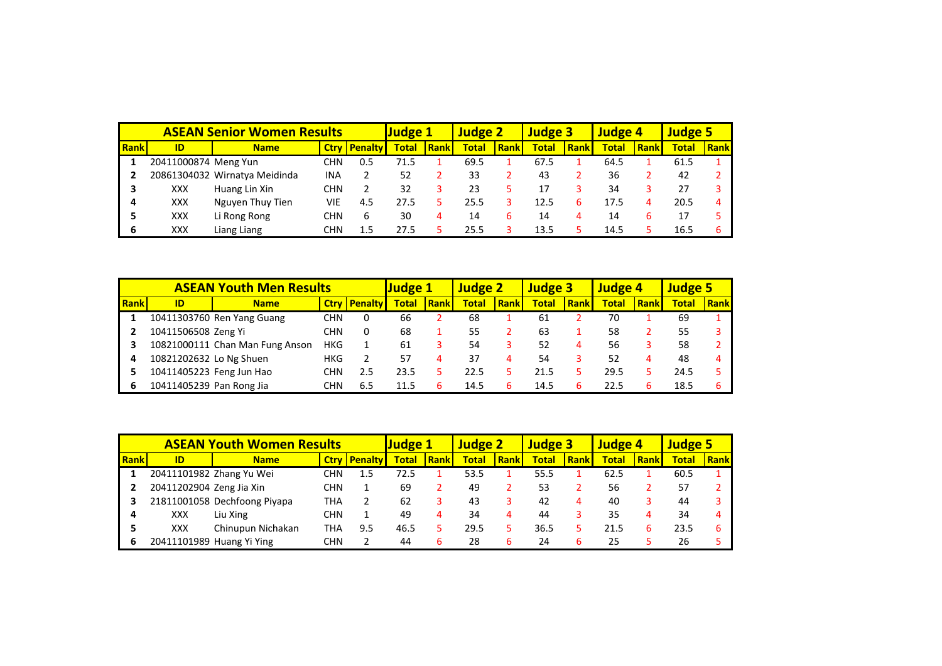|      |                      | <b>ASEAN Senior Women Results</b> |            | <b>Judge 1</b>      |              | <b>Judge 2</b> |              | <b>Judge 3</b> |              | <b>Judge 4</b> |              | <b>Judge 5</b> |              |             |
|------|----------------------|-----------------------------------|------------|---------------------|--------------|----------------|--------------|----------------|--------------|----------------|--------------|----------------|--------------|-------------|
| Rank | ID                   | <b>Name</b>                       |            | <b>Ctry Penalty</b> | <b>Total</b> | Rankl          | <b>Total</b> | Rankl          | <b>Total</b> | Rank           | <b>Total</b> | <b>Rank</b>    | <b>Total</b> | <b>Rank</b> |
|      | 20411000874 Meng Yun |                                   | CHN        | 0.5                 | 71.5         |                | 69.5         |                | 67.5         |                | 64.5         |                | 61.5         |             |
|      |                      | 20861304032 Wirnatya Meidinda     | <b>INA</b> | 2                   | 52           |                | 33           |                | 43           |                | 36           |                | 42           |             |
|      | XXX                  | Huang Lin Xin                     | CHN        |                     | 32           |                | 23           |                | 17           |                | 34           |                |              |             |
| 4    | XXX                  | Nguyen Thuy Tien                  | VIE        | 4.5                 | 27.5         |                | 25.5         |                | 12.5         | 6              | 17.5         | 4              | 20.5         |             |
|      | XXX                  | Li Rong Rong                      | CHN        | 6                   | 30           |                | 14           | ь              | 14           | 4              | 14           |                | 17           |             |
| 6    | <b>XXX</b>           | Liang Liang                       | CHN        | 1.5                 | 27.5         |                | 25.5         |                | 13.5         |                | 14.5         |                | 16.5         |             |

|      | <b>ASEAN Youth Men Results</b> |                                 |            |                         |              |      | <b>Judge 2</b> |       | <b>Judge 3</b> |             | <b>Judge 4</b> |             | <b>Judge 5</b> |             |
|------|--------------------------------|---------------------------------|------------|-------------------------|--------------|------|----------------|-------|----------------|-------------|----------------|-------------|----------------|-------------|
| Rank | ID                             | <b>Name</b>                     |            | <b>Ctry   Penalty  </b> | <b>Total</b> | Rank | <b>Total</b>   | Rankl | <b>Total</b>   | <b>Rank</b> | <b>Total</b>   | <b>Rank</b> | <b>Total</b>   | <b>Rank</b> |
|      |                                | 10411303760 Ren Yang Guang      | CHN        | 0                       | 66           |      | 68             |       | 61             |             | 70             |             | 69             |             |
|      | 10411506508 Zeng Yi            |                                 | CHN        | 0                       | 68           |      | 55             |       | 63             |             | 58             |             | 55             |             |
|      |                                | 10821000111 Chan Man Fung Anson | <b>HKG</b> |                         | 61           |      | 54             |       | 52             | 4           | 56             |             | 58             |             |
|      | 10821202632 Lo Ng Shuen        |                                 | HKG        |                         | 57           |      | 37             | 4     | 54             |             | 52             | Δ           | 48             |             |
|      | 10411405223 Feng Jun Hao       |                                 | CHN        | 2.5                     | 23.5         |      | 22.5           |       | 21.5           |             | 29.5           |             | 24.5           |             |
|      | 10411405239 Pan Rong Jia       |                                 | CHN        | 6.5                     | 11.5         |      | 14.5           |       | 14.5           |             | 22.5           | h           | 18.5           |             |

|      | <b>ASEAN Youth Women Results</b> | <b>Judge 1</b>               |     | <b>Judge 2</b>        |              | <b>Judge 3</b> |              | <b>Judge 4</b> |              | <b>Judge 5</b> |              |      |              |             |
|------|----------------------------------|------------------------------|-----|-----------------------|--------------|----------------|--------------|----------------|--------------|----------------|--------------|------|--------------|-------------|
| Rank | ID                               | <b>Name</b>                  |     | <b>Ctry   Penalty</b> | <b>Total</b> | Rank           | <b>Total</b> | Rank           | <b>Total</b> | Rankl          | <b>Total</b> | Rank | <b>Total</b> | <b>Rank</b> |
|      |                                  | 20411101982 Zhang Yu Wei     | CHN | 1.5                   | 72.5         |                | 53.5         |                | 55.5         |                | 62.5         |      | 60.5         |             |
|      | 20411202904 Zeng Jia Xin         |                              | CHN |                       | 69           |                | 49           |                | 53           |                | 56           |      | 57           |             |
|      |                                  | 21811001058 Dechfoong Piyapa | THA |                       | 62           |                | 43           |                | 42           | 4              | 40           |      | 44           |             |
|      | XXX                              | Liu Xing                     | CHN |                       | 49           |                | 34           | 4              | 44           |                | 35           | 4    | 34           |             |
|      | XXX                              | Chinupun Nichakan            | THA | 9.5                   | 46.5         |                | 29.5         |                | 36.5         |                | 21.5         | h    | 23.5         |             |
|      |                                  | 20411101989 Huang Yi Ying    | CHN |                       | 44           |                | 28           |                | 24           |                | 25           |      | 26           |             |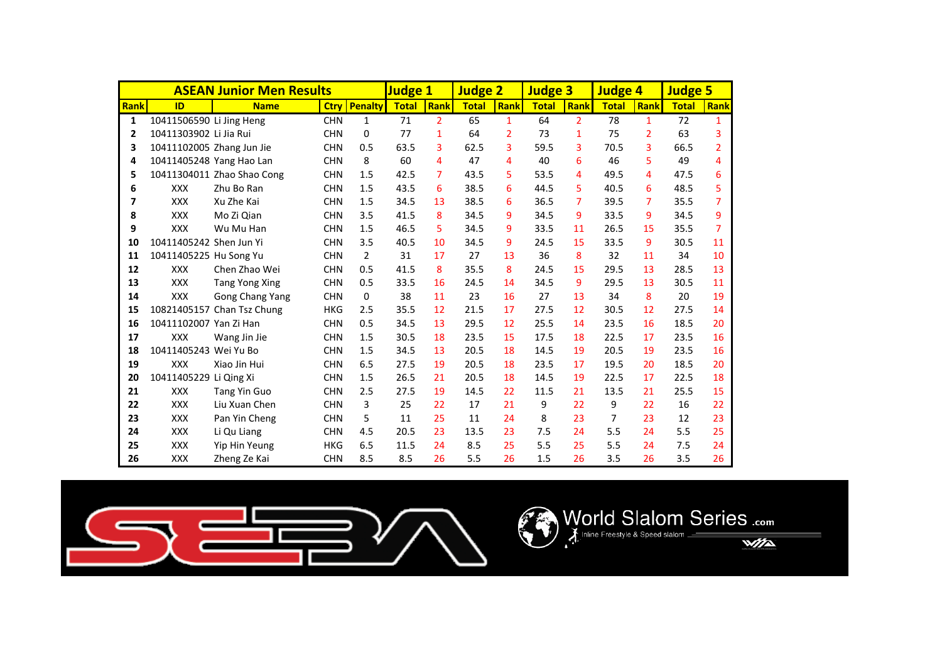|             |                           | <b>ASEAN Junior Men Results</b> |            |                     | <b>Judge 1</b> |                | <b>Judge 2</b> |                | <b>Judge 3</b> |                | <b>Judge 4</b> |                | <b>Judge 5</b> |                |
|-------------|---------------------------|---------------------------------|------------|---------------------|----------------|----------------|----------------|----------------|----------------|----------------|----------------|----------------|----------------|----------------|
| <b>Rank</b> | ID                        | <b>Name</b>                     |            | <b>Ctry Penalty</b> | <b>Total</b>   | Rank           | <b>Total</b>   | <b>Rank</b>    | <b>Total</b>   | Rank           | <b>Total</b>   | <b>Rank</b>    | <b>Total</b>   | Rank           |
| 1           | 10411506590 Li Jing Heng  |                                 | <b>CHN</b> | $\mathbf{1}$        | 71             | $\overline{2}$ | 65             | $\mathbf{1}$   | 64             | $\overline{2}$ | 78             | 1              | 72             | 1              |
| 2           | 10411303902 Li Jia Rui    |                                 | <b>CHN</b> | $\Omega$            | 77             | $\mathbf{1}$   | 64             | $\overline{2}$ | 73             | 1              | 75             | $\overline{2}$ | 63             | 3              |
| 3           | 10411102005 Zhang Jun Jie |                                 | <b>CHN</b> | 0.5                 | 63.5           | 3              | 62.5           | 3              | 59.5           | 3              | 70.5           | 3              | 66.5           | $\overline{2}$ |
| 4           | 10411405248 Yang Hao Lan  |                                 | <b>CHN</b> | 8                   | 60             | 4              | 47             | 4              | 40             | 6              | 46             | 5              | 49             | 4              |
| 5           |                           | 10411304011 Zhao Shao Cong      | <b>CHN</b> | 1.5                 | 42.5           | 7              | 43.5           | 5.             | 53.5           | 4              | 49.5           | 4              | 47.5           | 6              |
| 6           | <b>XXX</b>                | Zhu Bo Ran                      | <b>CHN</b> | 1.5                 | 43.5           | 6              | 38.5           | 6              | 44.5           | 5              | 40.5           | 6              | 48.5           | 5              |
| 7           | <b>XXX</b>                | Xu Zhe Kai                      | <b>CHN</b> | 1.5                 | 34.5           | 13             | 38.5           | 6              | 36.5           | 7              | 39.5           | 7              | 35.5           | 7              |
| 8           | <b>XXX</b>                | Mo Zi Qian                      | <b>CHN</b> | 3.5                 | 41.5           | 8              | 34.5           | 9              | 34.5           | 9              | 33.5           | 9              | 34.5           | 9              |
| 9           | <b>XXX</b>                | Wu Mu Han                       | <b>CHN</b> | 1.5                 | 46.5           | 5.             | 34.5           | 9              | 33.5           | 11             | 26.5           | 15             | 35.5           | 7              |
| 10          | 10411405242 Shen Jun Yi   |                                 | <b>CHN</b> | 3.5                 | 40.5           | 10             | 34.5           | 9              | 24.5           | 15             | 33.5           | 9              | 30.5           | 11             |
| 11          | 10411405225 Hu Song Yu    |                                 | <b>CHN</b> | $\overline{2}$      | 31             | 17             | 27             | 13             | 36             | 8              | 32             | 11             | 34             | 10             |
| 12          | <b>XXX</b>                | Chen Zhao Wei                   | <b>CHN</b> | 0.5                 | 41.5           | 8              | 35.5           | 8              | 24.5           | 15             | 29.5           | 13             | 28.5           | 13             |
| 13          | <b>XXX</b>                | Tang Yong Xing                  | <b>CHN</b> | 0.5                 | 33.5           | 16             | 24.5           | 14             | 34.5           | 9              | 29.5           | 13             | 30.5           | 11             |
| 14          | <b>XXX</b>                | Gong Chang Yang                 | <b>CHN</b> | 0                   | 38             | 11             | 23             | 16             | 27             | 13             | 34             | 8              | 20             | 19             |
| 15          |                           | 10821405157 Chan Tsz Chung      | <b>HKG</b> | 2.5                 | 35.5           | 12             | 21.5           | 17             | 27.5           | 12             | 30.5           | 12             | 27.5           | 14             |
| 16          | 10411102007 Yan Zi Han    |                                 | <b>CHN</b> | 0.5                 | 34.5           | 13             | 29.5           | 12             | 25.5           | 14             | 23.5           | 16             | 18.5           | 20             |
| 17          | XXX                       | Wang Jin Jie                    | <b>CHN</b> | 1.5                 | 30.5           | 18             | 23.5           | 15             | 17.5           | 18             | 22.5           | 17             | 23.5           | 16             |
| 18          | 10411405243 Wei Yu Bo     |                                 | <b>CHN</b> | 1.5                 | 34.5           | 13             | 20.5           | 18             | 14.5           | 19             | 20.5           | 19             | 23.5           | 16             |
| 19          | <b>XXX</b>                | Xiao Jin Hui                    | <b>CHN</b> | 6.5                 | 27.5           | 19             | 20.5           | 18             | 23.5           | 17             | 19.5           | 20             | 18.5           | 20             |
| 20          | 10411405229 Li Qing Xi    |                                 | <b>CHN</b> | 1.5                 | 26.5           | 21             | 20.5           | 18             | 14.5           | 19             | 22.5           | 17             | 22.5           | 18             |
| 21          | <b>XXX</b>                | <b>Tang Yin Guo</b>             | <b>CHN</b> | 2.5                 | 27.5           | 19             | 14.5           | 22             | 11.5           | 21             | 13.5           | 21             | 25.5           | 15             |
| 22          | <b>XXX</b>                | Liu Xuan Chen                   | <b>CHN</b> | 3                   | 25             | 22             | 17             | 21             | 9              | 22             | 9              | 22             | 16             | 22             |
| 23          | <b>XXX</b>                | Pan Yin Cheng                   | <b>CHN</b> | 5                   | 11             | 25             | 11             | 24             | 8              | 23             | 7              | 23             | 12             | 23             |
| 24          | <b>XXX</b>                | Li Qu Liang                     | <b>CHN</b> | 4.5                 | 20.5           | 23             | 13.5           | 23             | 7.5            | 24             | 5.5            | 24             | 5.5            | 25             |
| 25          | <b>XXX</b>                | Yip Hin Yeung                   | <b>HKG</b> | 6.5                 | 11.5           | 24             | 8.5            | 25             | 5.5            | 25             | 5.5            | 24             | 7.5            | 24             |
| 26          | <b>XXX</b>                | Zheng Ze Kai                    | <b>CHN</b> | 8.5                 | 8.5            | 26             | 5.5            | 26             | 1.5            | 26             | 3.5            | 26             | 3.5            | 26             |